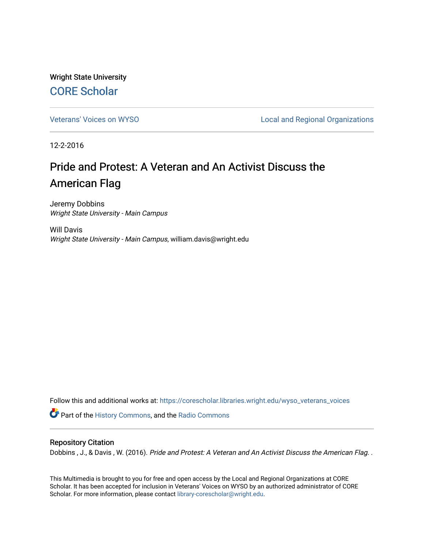Wright State University [CORE Scholar](https://corescholar.libraries.wright.edu/)

[Veterans' Voices on WYSO](https://corescholar.libraries.wright.edu/wyso_veterans_voices) **Local and Regional Organizations** 

12-2-2016

## Pride and Protest: A Veteran and An Activist Discuss the American Flag

Jeremy Dobbins Wright State University - Main Campus

Will Davis Wright State University - Main Campus, william.davis@wright.edu

Follow this and additional works at: [https://corescholar.libraries.wright.edu/wyso\\_veterans\\_voices](https://corescholar.libraries.wright.edu/wyso_veterans_voices?utm_source=corescholar.libraries.wright.edu%2Fwyso_veterans_voices%2F21&utm_medium=PDF&utm_campaign=PDFCoverPages)

**Part of the [History Commons,](http://network.bepress.com/hgg/discipline/489?utm_source=corescholar.libraries.wright.edu%2Fwyso_veterans_voices%2F21&utm_medium=PDF&utm_campaign=PDFCoverPages) and the Radio Commons** 

## Repository Citation

Dobbins, J., & Davis, W. (2016). Pride and Protest: A Veteran and An Activist Discuss the American Flag. .

This Multimedia is brought to you for free and open access by the Local and Regional Organizations at CORE Scholar. It has been accepted for inclusion in Veterans' Voices on WYSO by an authorized administrator of CORE Scholar. For more information, please contact [library-corescholar@wright.edu](mailto:library-corescholar@wright.edu).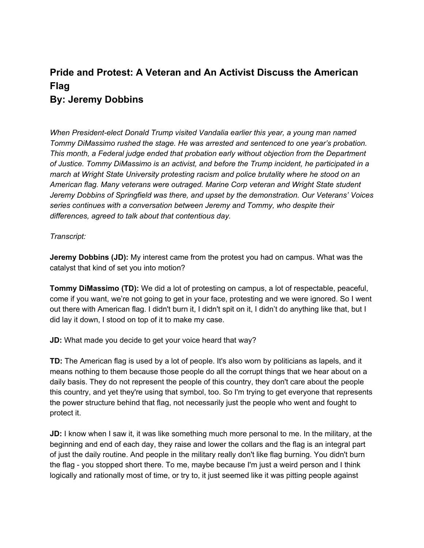## **Pride and Protest: A Veteran and An Activist Discuss the American Flag By: Jeremy Dobbins**

*When President-elect Donald Trump visited Vandalia earlier this year, a young man named Tommy DiMassimo rushed the stage. He was arrested and sentenced to one year's probation. This month, a Federal judge ended that probation early without objection from the Department of Justice. Tommy DiMassimo is an activist, and before the Trump incident, he participated in a march at Wright State University protesting racism and police brutality where he stood on an American flag. Many veterans were outraged. Marine Corp veteran and Wright State student Jeremy Dobbins of Springfield was there, and upset by the demonstration. Our Veterans' Voices series continues with a conversation between Jeremy and Tommy, who despite their differences, agreed to talk about that contentious day.*

## *Transcript:*

**Jeremy Dobbins (JD):** My interest came from the protest you had on campus. What was the catalyst that kind of set you into motion?

**Tommy DiMassimo (TD):** We did a lot of protesting on campus, a lot of respectable, peaceful, come if you want, we're not going to get in your face, protesting and we were ignored. So I went out there with American flag. I didn't burn it, I didn't spit on it, I didn't do anything like that, but I did lay it down, I stood on top of it to make my case.

**JD:** What made you decide to get your voice heard that way?

**TD:** The American flag is used by a lot of people. It's also worn by politicians as lapels, and it means nothing to them because those people do all the corrupt things that we hear about on a daily basis. They do not represent the people of this country, they don't care about the people this country, and yet they're using that symbol, too. So I'm trying to get everyone that represents the power structure behind that flag, not necessarily just the people who went and fought to protect it.

**JD:** I know when I saw it, it was like something much more personal to me. In the military, at the beginning and end of each day, they raise and lower the collars and the flag is an integral part of just the daily routine. And people in the military really don't like flag burning. You didn't burn the flag - you stopped short there. To me, maybe because I'm just a weird person and I think logically and rationally most of time, or try to, it just seemed like it was pitting people against